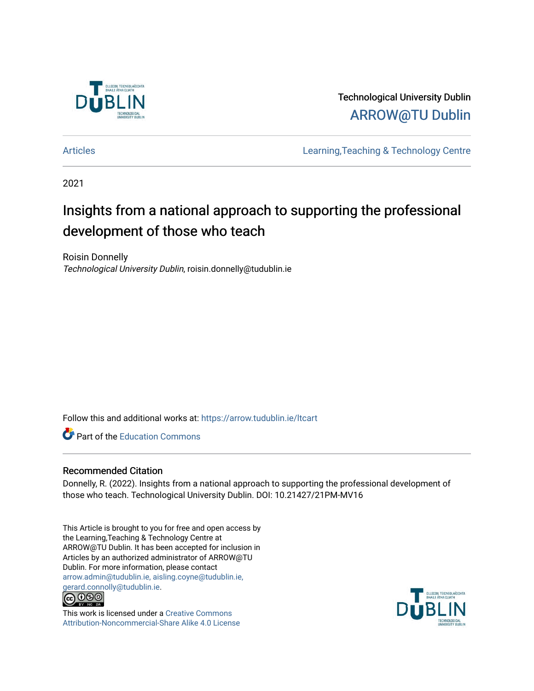

Technological University Dublin [ARROW@TU Dublin](https://arrow.tudublin.ie/) 

[Articles](https://arrow.tudublin.ie/ltcart) [Learning,Teaching & Technology Centre](https://arrow.tudublin.ie/ltc) 

2021

# Insights from a national approach to supporting the professional development of those who teach

Roisin Donnelly Technological University Dublin, roisin.donnelly@tudublin.ie

Follow this and additional works at: [https://arrow.tudublin.ie/ltcart](https://arrow.tudublin.ie/ltcart?utm_source=arrow.tudublin.ie%2Fltcart%2F84&utm_medium=PDF&utm_campaign=PDFCoverPages)

**Part of the [Education Commons](http://network.bepress.com/hgg/discipline/784?utm_source=arrow.tudublin.ie%2Fltcart%2F84&utm_medium=PDF&utm_campaign=PDFCoverPages)** 

### Recommended Citation

Donnelly, R. (2022). Insights from a national approach to supporting the professional development of those who teach. Technological University Dublin. DOI: 10.21427/21PM-MV16

This Article is brought to you for free and open access by the Learning,Teaching & Technology Centre at ARROW@TU Dublin. It has been accepted for inclusion in Articles by an authorized administrator of ARROW@TU Dublin. For more information, please contact [arrow.admin@tudublin.ie, aisling.coyne@tudublin.ie,](mailto:arrow.admin@tudublin.ie,%20aisling.coyne@tudublin.ie,%20gerard.connolly@tudublin.ie)  [gerard.connolly@tudublin.ie](mailto:arrow.admin@tudublin.ie,%20aisling.coyne@tudublin.ie,%20gerard.connolly@tudublin.ie).<br>@000



This work is licensed under a [Creative Commons](http://creativecommons.org/licenses/by-nc-sa/4.0/) [Attribution-Noncommercial-Share Alike 4.0 License](http://creativecommons.org/licenses/by-nc-sa/4.0/)

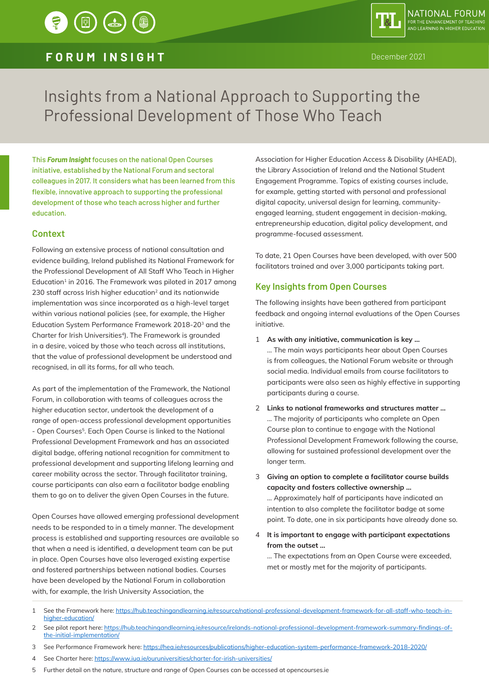## **FORUM INSIGHT** December 2021

# Insights from a National Approach to Supporting the Professional Development of Those Who Teach

This *Forum Insight* focuses on the national Open Courses initiative, established by the National Forum and sectoral colleagues in 2017. It considers what has been learned from this flexible, innovative approach to supporting the professional development of those who teach across higher and further education.

### **Context**

Following an extensive process of national consultation and evidence building, Ireland published its National Framework for the Professional Development of All Staff Who Teach in Higher Education<sup>1</sup> in 2016. The Framework was piloted in 2017 among 230 staff across Irish higher education<sup>2</sup> and its nationwide implementation was since incorporated as a high-level target within various national policies (see, for example, the Higher Education System Performance Framework 2018-203 and the Charter for Irish Universities<sup>4</sup>). The Framework is grounded in a desire, voiced by those who teach across all institutions, that the value of professional development be understood and recognised, in all its forms, for all who teach.

As part of the implementation of the Framework, the National Forum, in collaboration with teams of colleagues across the higher education sector, undertook the development of a range of open-access professional development opportunities - Open Courses<sup>5</sup>. Each Open Course is linked to the National Professional Development Framework and has an associated digital badge, offering national recognition for commitment to professional development and supporting lifelong learning and career mobility across the sector. Through facilitator training, course participants can also earn a facilitator badge enabling them to go on to deliver the given Open Courses in the future.

Open Courses have allowed emerging professional development needs to be responded to in a timely manner. The development process is established and supporting resources are available so that when a need is identified, a development team can be put in place. Open Courses have also leveraged existing expertise and fostered partnerships between national bodies. Courses have been developed by the National Forum in collaboration with, for example, the Irish University Association, the

Association for Higher Education Access & Disability (AHEAD), the Library Association of Ireland and the National Student Engagement Programme. Topics of existing courses include, for example, getting started with personal and professional digital capacity, universal design for learning, communityengaged learning, student engagement in decision-making, entrepreneurship education, digital policy development, and programme-focused assessment.

To date, 21 Open Courses have been developed, with over 500 facilitators trained and over 3,000 participants taking part.

### **Key Insights from Open Courses**

The following insights have been gathered from participant feedback and ongoing internal evaluations of the Open Courses initiative.

1 **As with any initiative, communication is key …**

… The main ways participants hear about Open Courses is from colleagues, the National Forum website or through social media. Individual emails from course facilitators to participants were also seen as highly effective in supporting participants during a course.

- 2 **Links to national frameworks and structures matter …** … The majority of participants who complete an Open Course plan to continue to engage with the National Professional Development Framework following the course, allowing for sustained professional development over the longer term.
- 3 **Giving an option to complete a facilitator course builds capacity and fosters collective ownership …** … Approximately half of participants have indicated an intention to also complete the facilitator badge at some point. To date, one in six participants have already done so.
- 4 **It is important to engage with participant expectations from the outset …**

… The expectations from an Open Course were exceeded, met or mostly met for the majority of participants.

- 1 See the Framework here: https://hub.teachingandlearning.ie/resource/national-professional-development-framework-for-all-staff-who-teach-inhigher-education/
- 2 See pilot report here: https://hub.teachingandlearning.ie/resource/irelands-national-professional-development-framework-summary-findings-ofthe-initial-implementation/
- 3 See Performance Framework here: https://hea.ie/resources/publications/higher-education-system-performance-framework-2018-2020/
- 4 See Charter here: https://www.iua.ie/ouruniversities/charter-for-irish-universities/
- 5 Further detail on the nature, structure and range of Open Courses can be accessed at opencourses.ie